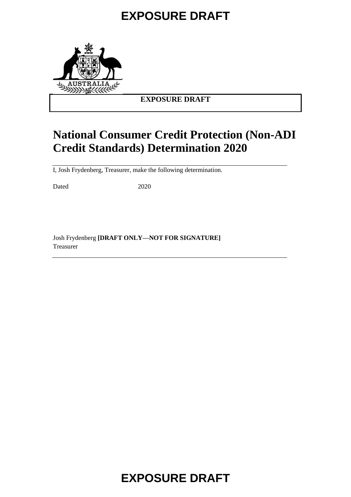

### **EXPOSURE DRAFT**

## **National Consumer Credit Protection (Non-ADI Credit Standards) Determination 2020**

I, Josh Frydenberg, Treasurer, make the following determination.

Dated 2020

Josh Frydenberg **[DRAFT ONLY—NOT FOR SIGNATURE]** Treasurer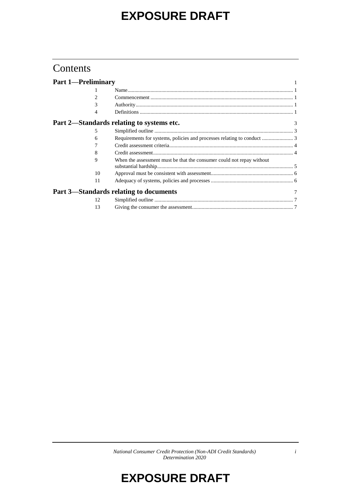### Contents

| <b>Part 1-Preliminary</b> |    |                                                                         |   |
|---------------------------|----|-------------------------------------------------------------------------|---|
|                           |    |                                                                         |   |
|                           | 2  |                                                                         |   |
|                           | 3  |                                                                         |   |
|                           | 4  |                                                                         |   |
|                           |    | Part 2—Standards relating to systems etc.                               | 3 |
|                           | 5  |                                                                         |   |
|                           | 6  | Requirements for systems, policies and processes relating to conduct  3 |   |
|                           |    |                                                                         |   |
|                           | 8  |                                                                         |   |
|                           | 9  | When the assessment must be that the consumer could not repay without   |   |
|                           | 10 |                                                                         |   |
|                           | 11 |                                                                         |   |
|                           |    | Part 3—Standards relating to documents                                  |   |
|                           | 12 |                                                                         |   |
|                           | 13 |                                                                         |   |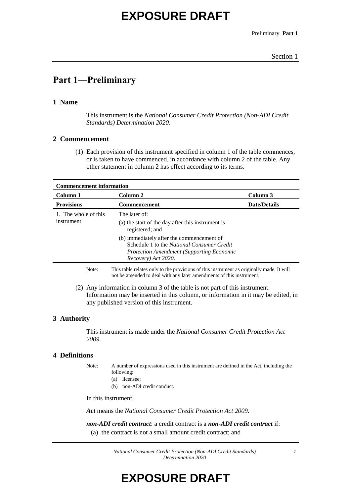Preliminary **Part 1**

### **Part 1—Preliminary**

### **1 Name**

This instrument is the *National Consumer Credit Protection (Non-ADI Credit Standards) Determination 2020*.

#### **2 Commencement**

(1) Each provision of this instrument specified in column 1 of the table commences, or is taken to have commenced, in accordance with column 2 of the table. Any other statement in column 2 has effect according to its terms.

| <b>Commencement information</b>    |                                                                                                                                                                           |                     |  |  |
|------------------------------------|---------------------------------------------------------------------------------------------------------------------------------------------------------------------------|---------------------|--|--|
| Column 1                           | Column 2                                                                                                                                                                  | Column 3            |  |  |
| <b>Provisions</b>                  | <b>Commencement</b>                                                                                                                                                       | <b>Date/Details</b> |  |  |
| 1. The whole of this<br>instrument | The later of:<br>(a) the start of the day after this instrument is<br>registered; and                                                                                     |                     |  |  |
|                                    | (b) immediately after the commencement of<br>Schedule 1 to the <i>National Consumer Credit</i><br><b>Protection Amendment (Supporting Economic</b><br>Recovery) Act 2020. |                     |  |  |
|                                    |                                                                                                                                                                           |                     |  |  |

Note: This table relates only to the provisions of this instrument as originally made. It will not be amended to deal with any later amendments of this instrument.

(2) Any information in column 3 of the table is not part of this instrument. Information may be inserted in this column, or information in it may be edited, in any published version of this instrument.

### **3 Authority**

This instrument is made under the *National Consumer Credit Protection Act 2009*.

### **4 Definitions**

Note: A number of expressions used in this instrument are defined in the Act, including the following:

- (a) licensee;
- (b) non-ADI credit conduct.

In this instrument:

*Act* means the *National Consumer Credit Protection Act 2009.*

*non-ADI credit contract*: a credit contract is a *non-ADI credit contract* if:

(a) the contract is not a small amount credit contract; and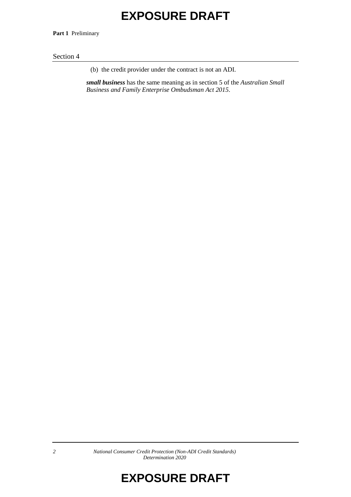**Part 1** Preliminary

#### Section 4

(b) the credit provider under the contract is not an ADI.

*small business* has the same meaning as in section 5 of the *Australian Small Business and Family Enterprise Ombudsman Act 2015*.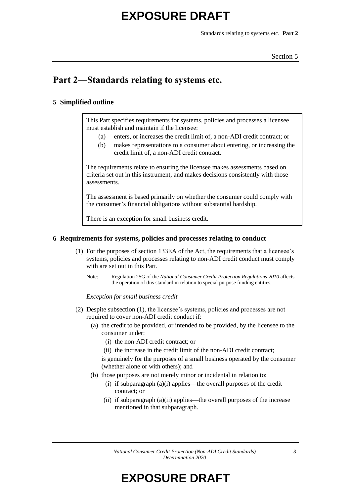Standards relating to systems etc. **Part 2**

### **Part 2—Standards relating to systems etc.**

### **5 Simplified outline**

This Part specifies requirements for systems, policies and processes a licensee must establish and maintain if the licensee:

- (a) enters, or increases the credit limit of, a non-ADI credit contract; or
- (b) makes representations to a consumer about entering, or increasing the credit limit of, a non-ADI credit contract.

The requirements relate to ensuring the licensee makes assessments based on criteria set out in this instrument, and makes decisions consistently with those assessments.

The assessment is based primarily on whether the consumer could comply with the consumer's financial obligations without substantial hardship*.*

There is an exception for small business credit.

### **6 Requirements for systems, policies and processes relating to conduct**

- (1) For the purposes of section 133EA of the Act, the requirements that a licensee's systems, policies and processes relating to non-ADI credit conduct must comply with are set out in this Part.
	- Note: Regulation 25G of the *National Consumer Credit Protection Regulations 2010* affects the operation of this standard in relation to special purpose funding entities.

*Exception for small business credit*

- (2) Despite subsection (1), the licensee's systems, policies and processes are not required to cover non-ADI credit conduct if:
	- (a) the credit to be provided, or intended to be provided, by the licensee to the consumer under:
		- (i) the non-ADI credit contract; or
		- (ii) the increase in the credit limit of the non-ADI credit contract;

is genuinely for the purposes of a small business operated by the consumer (whether alone or with others); and

- (b) those purposes are not merely minor or incidental in relation to:
	- (i) if subparagraph (a)(i) applies—the overall purposes of the credit contract; or
	- (ii) if subparagraph (a)(ii) applies—the overall purposes of the increase mentioned in that subparagraph.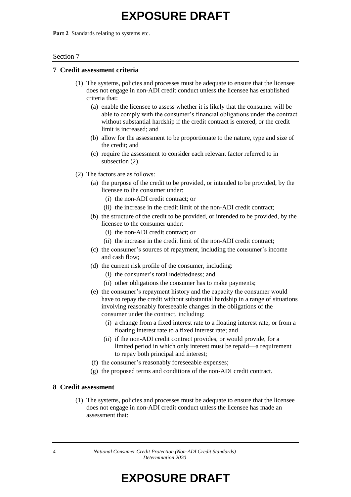Part 2 Standards relating to systems etc.

#### Section 7

#### **7 Credit assessment criteria**

- (1) The systems, policies and processes must be adequate to ensure that the licensee does not engage in non-ADI credit conduct unless the licensee has established criteria that:
	- (a) enable the licensee to assess whether it is likely that the consumer will be able to comply with the consumer's financial obligations under the contract without substantial hardship if the credit contract is entered, or the credit limit is increased; and
	- (b) allow for the assessment to be proportionate to the nature, type and size of the credit; and
	- (c) require the assessment to consider each relevant factor referred to in subsection (2).
- (2) The factors are as follows:
	- (a) the purpose of the credit to be provided, or intended to be provided, by the licensee to the consumer under:
		- (i) the non-ADI credit contract; or
		- (ii) the increase in the credit limit of the non-ADI credit contract;
	- (b) the structure of the credit to be provided, or intended to be provided, by the licensee to the consumer under:
		- (i) the non-ADI credit contract; or
		- (ii) the increase in the credit limit of the non-ADI credit contract;
	- (c) the consumer's sources of repayment, including the consumer's income and cash flow;
	- (d) the current risk profile of the consumer, including:
		- (i) the consumer's total indebtedness; and
		- (ii) other obligations the consumer has to make payments;
	- (e) the consumer's repayment history and the capacity the consumer would have to repay the credit without substantial hardship in a range of situations involving reasonably foreseeable changes in the obligations of the consumer under the contract, including:
		- (i) a change from a fixed interest rate to a floating interest rate, or from a floating interest rate to a fixed interest rate; and
		- (ii) if the non-ADI credit contract provides, or would provide, for a limited period in which only interest must be repaid—a requirement to repay both principal and interest;
	- (f) the consumer's reasonably foreseeable expenses;
	- (g) the proposed terms and conditions of the non-ADI credit contract.

### **8 Credit assessment**

(1) The systems, policies and processes must be adequate to ensure that the licensee does not engage in non-ADI credit conduct unless the licensee has made an assessment that:

*4 National Consumer Credit Protection (Non-ADI Credit Standards) Determination 2020*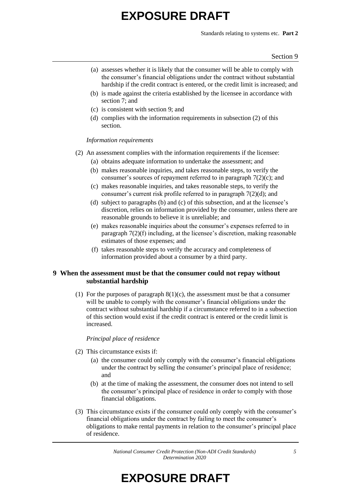Standards relating to systems etc. **Part 2**

- (a) assesses whether it is likely that the consumer will be able to comply with the consumer's financial obligations under the contract without substantial hardship if the credit contract is entered, or the credit limit is increased; and
- (b) is made against the criteria established by the licensee in accordance with section 7; and
- (c) is consistent with section 9; and
- (d) complies with the information requirements in subsection (2) of this section.

*Information requirements*

- (2) An assessment complies with the information requirements if the licensee:
	- (a) obtains adequate information to undertake the assessment; and
	- (b) makes reasonable inquiries, and takes reasonable steps, to verify the consumer's sources of repayment referred to in paragraph  $7(2)(c)$ ; and
	- (c) makes reasonable inquiries, and takes reasonable steps, to verify the consumer's current risk profile referred to in paragraph 7(2)(d); and
	- (d) subject to paragraphs (b) and (c) of this subsection, and at the licensee's discretion, relies on information provided by the consumer, unless there are reasonable grounds to believe it is unreliable; and
	- (e) makes reasonable inquiries about the consumer's expenses referred to in paragraph 7(2)(f) including, at the licensee's discretion, making reasonable estimates of those expenses; and
	- (f) takes reasonable steps to verify the accuracy and completeness of information provided about a consumer by a third party.

### **9 When the assessment must be that the consumer could not repay without substantial hardship**

(1) For the purposes of paragraph  $8(1)(c)$ , the assessment must be that a consumer will be unable to comply with the consumer's financial obligations under the contract without substantial hardship if a circumstance referred to in a subsection of this section would exist if the credit contract is entered or the credit limit is increased.

#### *Principal place of residence*

- (2) This circumstance exists if:
	- (a) the consumer could only comply with the consumer's financial obligations under the contract by selling the consumer's principal place of residence; and
	- (b) at the time of making the assessment, the consumer does not intend to sell the consumer's principal place of residence in order to comply with those financial obligations.
- (3) This circumstance exists if the consumer could only comply with the consumer's financial obligations under the contract by failing to meet the consumer's obligations to make rental payments in relation to the consumer's principal place of residence.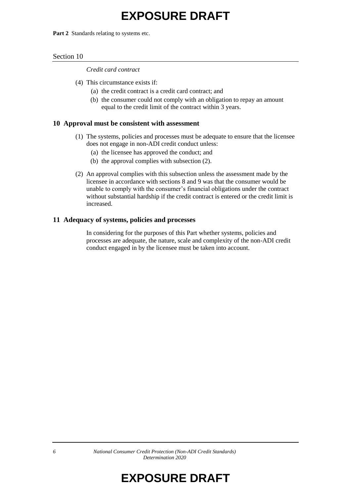Part 2 Standards relating to systems etc.

#### Section 10

*Credit card contract*

- (4) This circumstance exists if:
	- (a) the credit contract is a credit card contract; and
	- (b) the consumer could not comply with an obligation to repay an amount equal to the credit limit of the contract within 3 years.

#### **10 Approval must be consistent with assessment**

- (1) The systems, policies and processes must be adequate to ensure that the licensee does not engage in non-ADI credit conduct unless:
	- (a) the licensee has approved the conduct; and
	- (b) the approval complies with subsection (2).
- (2) An approval complies with this subsection unless the assessment made by the licensee in accordance with sections 8 and 9 was that the consumer would be unable to comply with the consumer's financial obligations under the contract without substantial hardship if the credit contract is entered or the credit limit is increased.

### **11 Adequacy of systems, policies and processes**

In considering for the purposes of this Part whether systems, policies and processes are adequate, the nature, scale and complexity of the non-ADI credit conduct engaged in by the licensee must be taken into account.